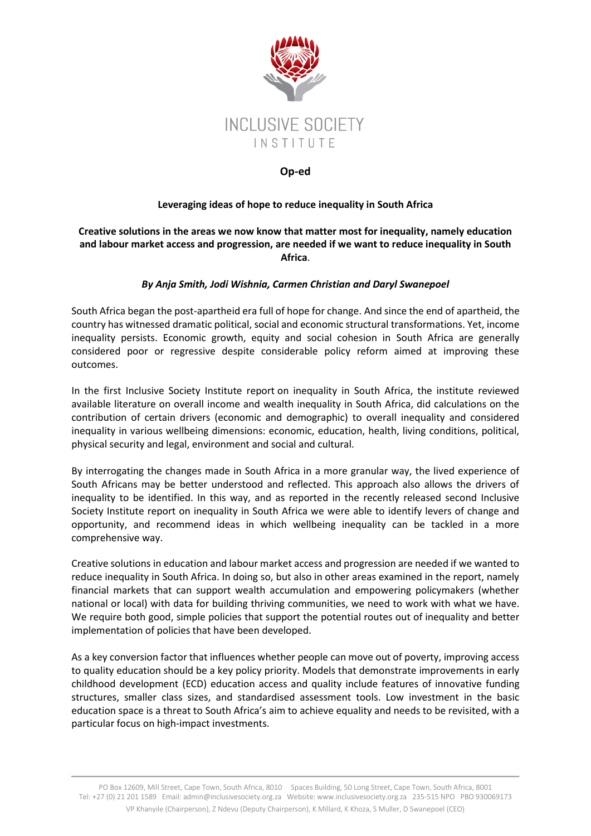

## **Op-ed**

## **Leveraging ideas of hope to reduce inequality in South Africa**

## **Creative solutions in the areas we now know that matter most for inequality, namely education and labour market access and progression, are needed if we want to reduce inequality in South Africa**.

## *By Anja Smith, Jodi Wishnia, Carmen Christian and Daryl Swanepoel*

South Africa began the post-apartheid era full of hope for change. And since the end of apartheid, the country has witnessed dramatic political, social and economic structural transformations. Yet, income inequality persists. Economic growth, equity and social cohesion in South Africa are generally considered poor or regressive despite considerable policy reform aimed at improving these outcomes.

In the first [Inclusive Society Institute report](https://www.inclusivesociety.org.za/reports/deliberations-on-the-nature-and-measurement-of-inequality-in-south-africa-summary-of-the-learnings-from-a-joint-workshop-by-the-inclusive-society-institute-and-the-swedish-institute-of-future-studie/) on inequality in South Africa, the institute reviewed available literature on overall income and wealth inequality in South Africa, did calculations on the contribution of certain drivers (economic and demographic) to overall inequality and considered inequality in various wellbeing dimensions: economic, education, health, living conditions, political, physical security and legal, environment and social and cultural.

By interrogating the changes made in South Africa in a more granular way, the lived experience of South Africans may be better understood and reflected. This approach also allows the drivers of inequality to be identified. In this way, and as reported in the recently released second Inclusive Society Institute report on inequality in South Africa we were able to identify levers of change and opportunity, and recommend ideas in which wellbeing inequality can be tackled in a more comprehensive way.

Creative solutions in education and labour market access and progression are needed if we wanted to reduce inequality in South Africa. In doing so, but also in other areas examined in the report, namely financial markets that can support wealth accumulation and empowering policymakers (whether national or local) with data for building thriving communities, we need to work with what we have. We require both good, simple policies that support the potential routes out of inequality and better implementation of policies that have been developed.

As a key conversion factor that influences whether people can move out of poverty, improving access to quality education should be a key policy priority. Models that demonstrate improvements in early childhood development (ECD) education access and quality include features of innovative funding structures, smaller class sizes, and standardised assessment tools. Low investment in the basic education space is a threat to South Africa's aim to achieve equality and needs to be revisited, with a particular focus on high-impact investments.

PO Box 12609, Mill Street, Cape Town, South Africa, 8010 Spaces Building, 50 Long Street, Cape Town, South Africa, 8001 Tel: +27 (0) 21 201 1589 Email: admi[n@inclusivesociety.org.za](mailto:info@inclusivesociety.org.za) Website: www.inclusivesociety.org.za 235-515 NPO PBO 930069173 VP Khanyile (Chairperson), Z Ndevu (Deputy Chairperson), K Millard, K Khoza, S Muller, D Swanepoel (CEO)